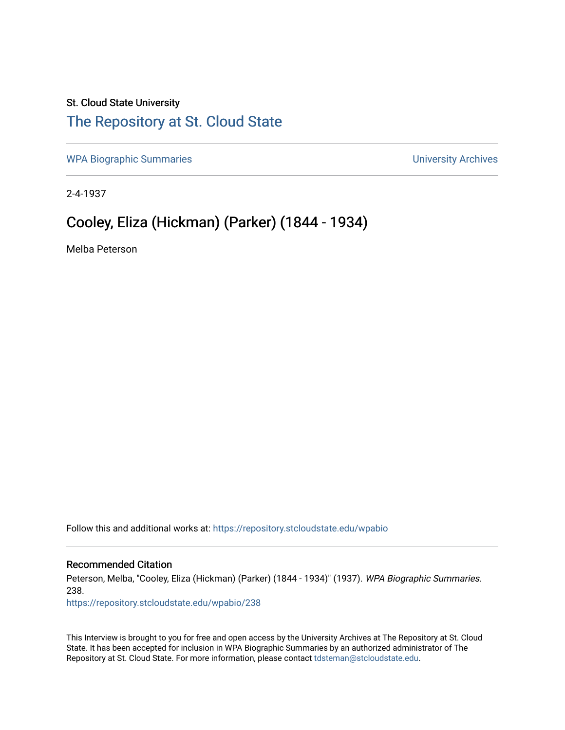## St. Cloud State University [The Repository at St. Cloud State](https://repository.stcloudstate.edu/)

[WPA Biographic Summaries](https://repository.stcloudstate.edu/wpabio) **WPA Biographic Summaries University Archives** 

2-4-1937

# Cooley, Eliza (Hickman) (Parker) (1844 - 1934)

Melba Peterson

Follow this and additional works at: [https://repository.stcloudstate.edu/wpabio](https://repository.stcloudstate.edu/wpabio?utm_source=repository.stcloudstate.edu%2Fwpabio%2F238&utm_medium=PDF&utm_campaign=PDFCoverPages) 

#### Recommended Citation

Peterson, Melba, "Cooley, Eliza (Hickman) (Parker) (1844 - 1934)" (1937). WPA Biographic Summaries. 238.

[https://repository.stcloudstate.edu/wpabio/238](https://repository.stcloudstate.edu/wpabio/238?utm_source=repository.stcloudstate.edu%2Fwpabio%2F238&utm_medium=PDF&utm_campaign=PDFCoverPages) 

This Interview is brought to you for free and open access by the University Archives at The Repository at St. Cloud State. It has been accepted for inclusion in WPA Biographic Summaries by an authorized administrator of The Repository at St. Cloud State. For more information, please contact [tdsteman@stcloudstate.edu.](mailto:tdsteman@stcloudstate.edu)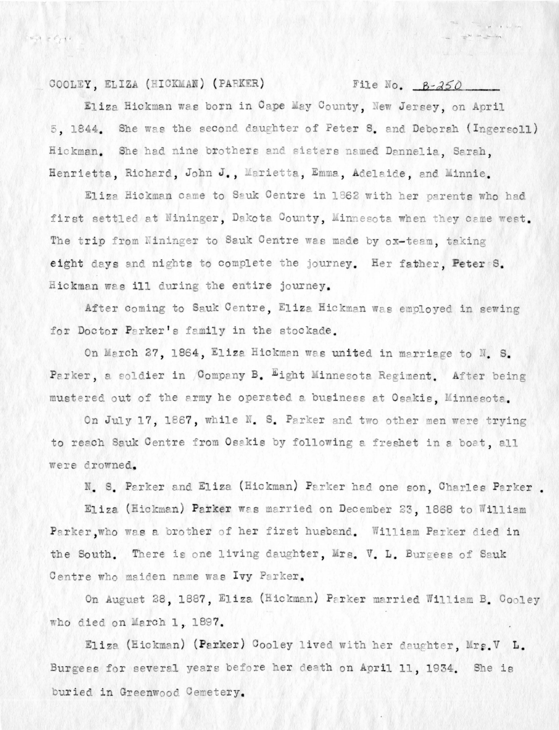### COOLEY, ELIZA (HICKMAN) (PARKER) File No.  $B-250$

 $\vec{r}$  =  $\vec{e}_1 + \vec{r}$ 

Eliza Hickman was born in Cape May County, New Jersey, on April 5. 1844. She was the second daughter of Peter S. and Deborah (Ingersoll) Hickman. She had nine brothers and sisters named Dannelia, Sarah. Henrietta, Richard, John J., Marietta, Emma, Adelaide, and Minnie.

Eliza Hickman came to Sauk Centre in 1862 with her parents who had first settled at Nininger, Dakota County, Minnesota when they came west. The trip from Nininger to Sauk Centre was made by ox-team, taking eight days and nights to complete the journey. Her father. Peter S. Hickman was ill during the entire journey.

After coming to Sauk Centre, Eliza Hickman was employed in sewing for Doctor Parker's family in the stockade.

On March 27, 1864, Eliza Hickman was united in marriage to N. S. Parker, a soldier in Company B. Eight Minnesota Regiment. After being mustered out of the army he operated a business at Osakis, Minnesota.

On July 17, 1867, while N. S. Parker and two other men were trying to reach Sauk Centre from Osakis by following a freshet in a boat, all were drowned.

N. S. Parker and Eliza (Hickman) Parker had one son, Charles Parker.

Eliza (Hickman) Parker was married on December 23, 1868 to William Parker, who was a brother of her first husband. William Parker died in the South. There is one living daughter, Mrs. V. L. Burgess of Sauk Centre who maiden name was Ivy Parker.

On August 28, 1887, Eliza (Hickman) Parker married William B. Cooley who died on March 1, 1897.

Eliza (Hickman) (Parker) Cooley lived with her daughter, Mrs.V L. Burgess for several years before her death on April 11, 1934. She is buried in Greenwood Cemetery.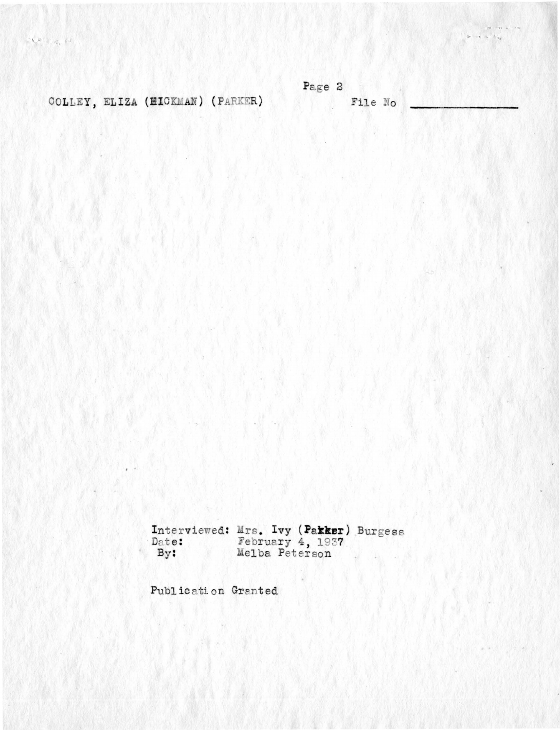COLLEY, ELIZA (HICKMAN) (PARKER)

| Page 2 |         |  |
|--------|---------|--|
|        | File No |  |

Interviewed: Mrs. Ivy (Pakker) Burgess<br>Date: February 4, 1937<br>By: Melba Peterson Date:<br>By:

Publication Granted